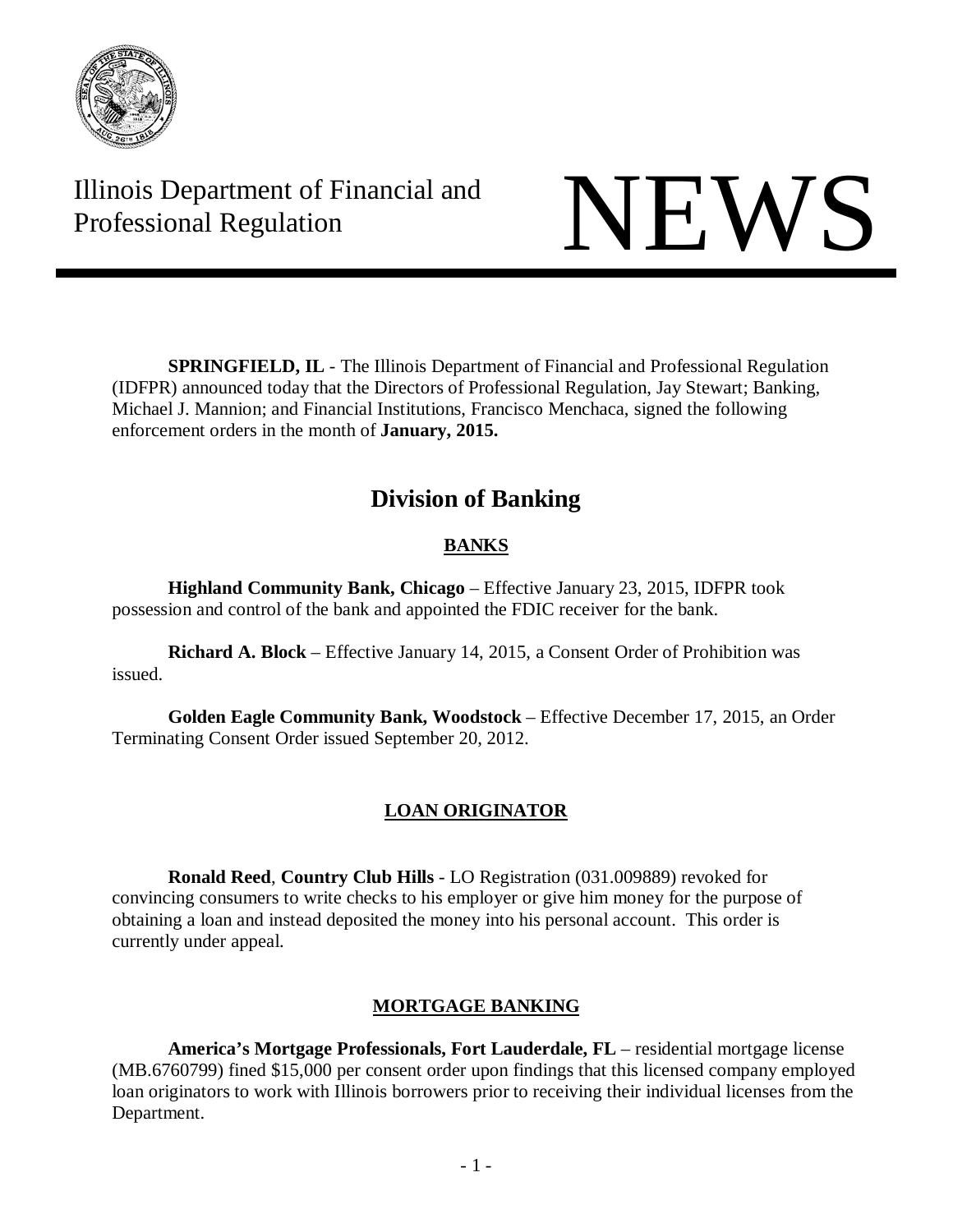

Illinois Department of Financial and Illinois Department of Financial and<br>Professional Regulation NEWS

**SPRINGFIELD, IL** - The Illinois Department of Financial and Professional Regulation (IDFPR) announced today that the Directors of Professional Regulation, Jay Stewart; Banking, Michael J. Mannion; and Financial Institutions, Francisco Menchaca, signed the following enforcement orders in the month of **January, 2015.**

# **Division of Banking**

# **BANKS**

**Highland Community Bank, Chicago** – Effective January 23, 2015, IDFPR took possession and control of the bank and appointed the FDIC receiver for the bank.

**Richard A. Block** – Effective January 14, 2015, a Consent Order of Prohibition was issued.

**Golden Eagle Community Bank, Woodstock** – Effective December 17, 2015, an Order Terminating Consent Order issued September 20, 2012.

# **LOAN ORIGINATOR**

**Ronald Reed**, **Country Club Hills** - LO Registration (031.009889) revoked for convincing consumers to write checks to his employer or give him money for the purpose of obtaining a loan and instead deposited the money into his personal account. This order is currently under appeal.

# **MORTGAGE BANKING**

**America's Mortgage Professionals, Fort Lauderdale, FL** – residential mortgage license (MB.6760799) fined \$15,000 per consent order upon findings that this licensed company employed loan originators to work with Illinois borrowers prior to receiving their individual licenses from the Department.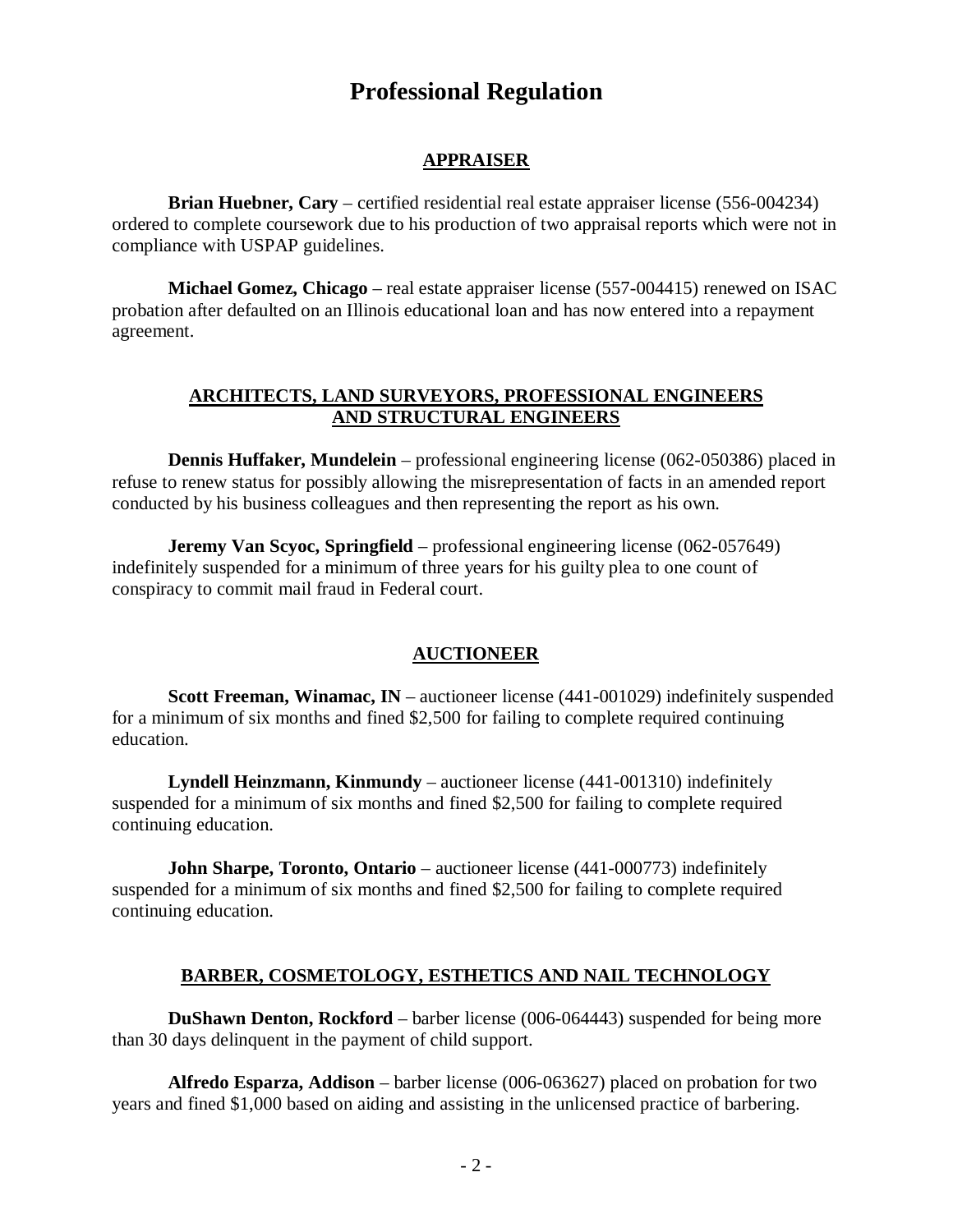# **Professional Regulation**

#### **APPRAISER**

**Brian Huebner, Cary** – certified residential real estate appraiser license (556-004234) ordered to complete coursework due to his production of two appraisal reports which were not in compliance with USPAP guidelines.

**Michael Gomez, Chicago** – real estate appraiser license (557-004415) renewed on ISAC probation after defaulted on an Illinois educational loan and has now entered into a repayment agreement.

#### **ARCHITECTS, LAND SURVEYORS, PROFESSIONAL ENGINEERS AND STRUCTURAL ENGINEERS**

**Dennis Huffaker, Mundelein** – professional engineering license (062-050386) placed in refuse to renew status for possibly allowing the misrepresentation of facts in an amended report conducted by his business colleagues and then representing the report as his own.

**Jeremy Van Scyoc, Springfield** – professional engineering license (062-057649) indefinitely suspended for a minimum of three years for his guilty plea to one count of conspiracy to commit mail fraud in Federal court.

## **AUCTIONEER**

**Scott Freeman, Winamac, IN** – auctioneer license (441-001029) indefinitely suspended for a minimum of six months and fined \$2,500 for failing to complete required continuing education.

**Lyndell Heinzmann, Kinmundy** – auctioneer license (441-001310) indefinitely suspended for a minimum of six months and fined \$2,500 for failing to complete required continuing education.

**John Sharpe, Toronto, Ontario** – auctioneer license (441-000773) indefinitely suspended for a minimum of six months and fined \$2,500 for failing to complete required continuing education.

#### **BARBER, COSMETOLOGY, ESTHETICS AND NAIL TECHNOLOGY**

**DuShawn Denton, Rockford** – barber license (006-064443) suspended for being more than 30 days delinquent in the payment of child support.

**Alfredo Esparza, Addison** – barber license (006-063627) placed on probation for two years and fined \$1,000 based on aiding and assisting in the unlicensed practice of barbering.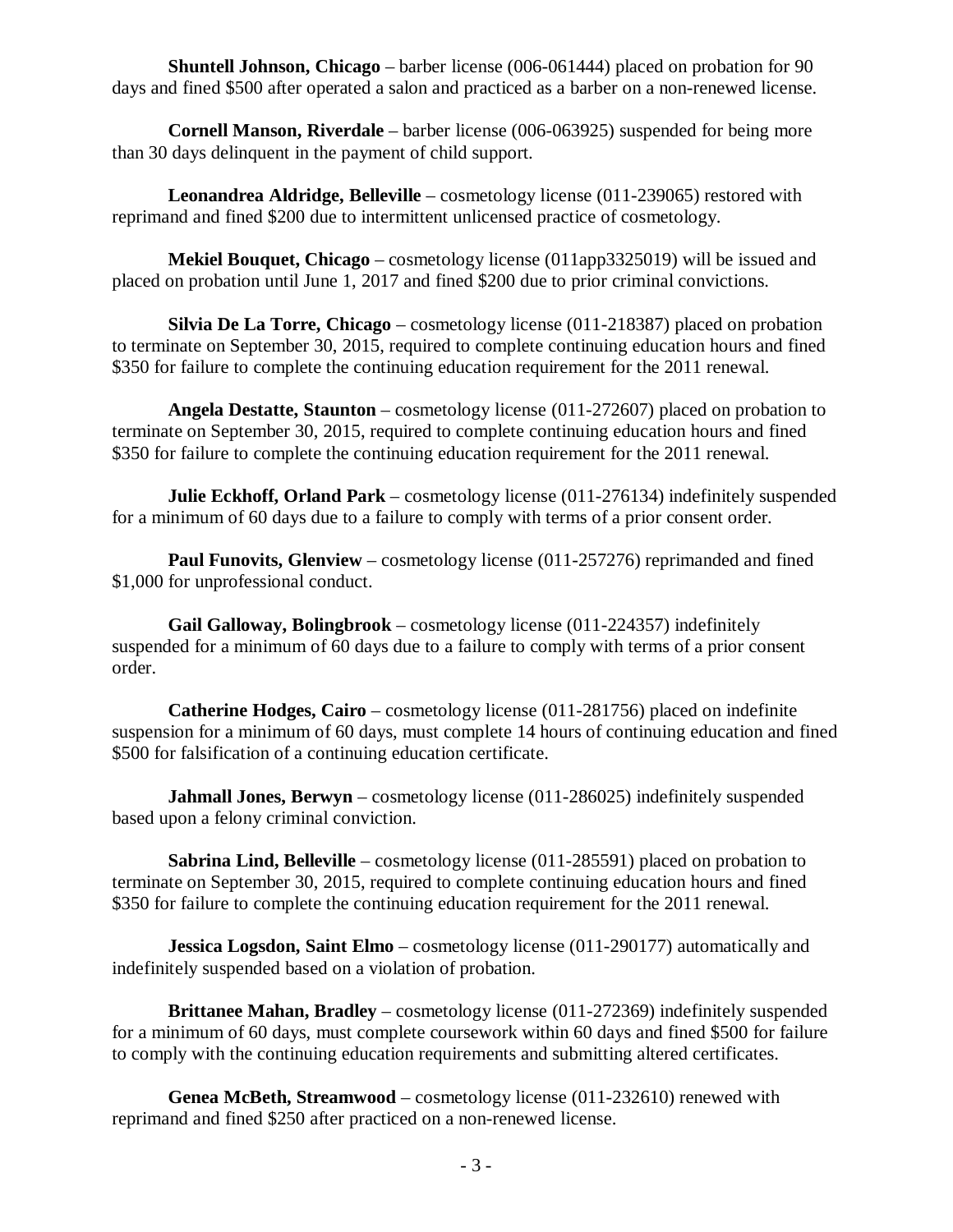**Shuntell Johnson, Chicago** – barber license (006-061444) placed on probation for 90 days and fined \$500 after operated a salon and practiced as a barber on a non-renewed license.

**Cornell Manson, Riverdale** – barber license (006-063925) suspended for being more than 30 days delinquent in the payment of child support.

**Leonandrea Aldridge, Belleville** – cosmetology license (011-239065) restored with reprimand and fined \$200 due to intermittent unlicensed practice of cosmetology.

**Mekiel Bouquet, Chicago** – cosmetology license (011app3325019) will be issued and placed on probation until June 1, 2017 and fined \$200 due to prior criminal convictions.

**Silvia De La Torre, Chicago** – cosmetology license (011-218387) placed on probation to terminate on September 30, 2015, required to complete continuing education hours and fined \$350 for failure to complete the continuing education requirement for the 2011 renewal.

**Angela Destatte, Staunton** – cosmetology license (011-272607) placed on probation to terminate on September 30, 2015, required to complete continuing education hours and fined \$350 for failure to complete the continuing education requirement for the 2011 renewal.

**Julie Eckhoff, Orland Park** – cosmetology license (011-276134) indefinitely suspended for a minimum of 60 days due to a failure to comply with terms of a prior consent order.

**Paul Funovits, Glenview** – cosmetology license (011-257276) reprimanded and fined \$1,000 for unprofessional conduct.

**Gail Galloway, Bolingbrook** – cosmetology license (011-224357) indefinitely suspended for a minimum of 60 days due to a failure to comply with terms of a prior consent order.

**Catherine Hodges, Cairo** – cosmetology license (011-281756) placed on indefinite suspension for a minimum of 60 days, must complete 14 hours of continuing education and fined \$500 for falsification of a continuing education certificate.

**Jahmall Jones, Berwyn** – cosmetology license (011-286025) indefinitely suspended based upon a felony criminal conviction.

**Sabrina Lind, Belleville** – cosmetology license (011-285591) placed on probation to terminate on September 30, 2015, required to complete continuing education hours and fined \$350 for failure to complete the continuing education requirement for the 2011 renewal.

**Jessica Logsdon, Saint Elmo** – cosmetology license (011-290177) automatically and indefinitely suspended based on a violation of probation.

**Brittanee Mahan, Bradley** – cosmetology license (011-272369) indefinitely suspended for a minimum of 60 days, must complete coursework within 60 days and fined \$500 for failure to comply with the continuing education requirements and submitting altered certificates.

**Genea McBeth, Streamwood** – cosmetology license (011-232610) renewed with reprimand and fined \$250 after practiced on a non-renewed license.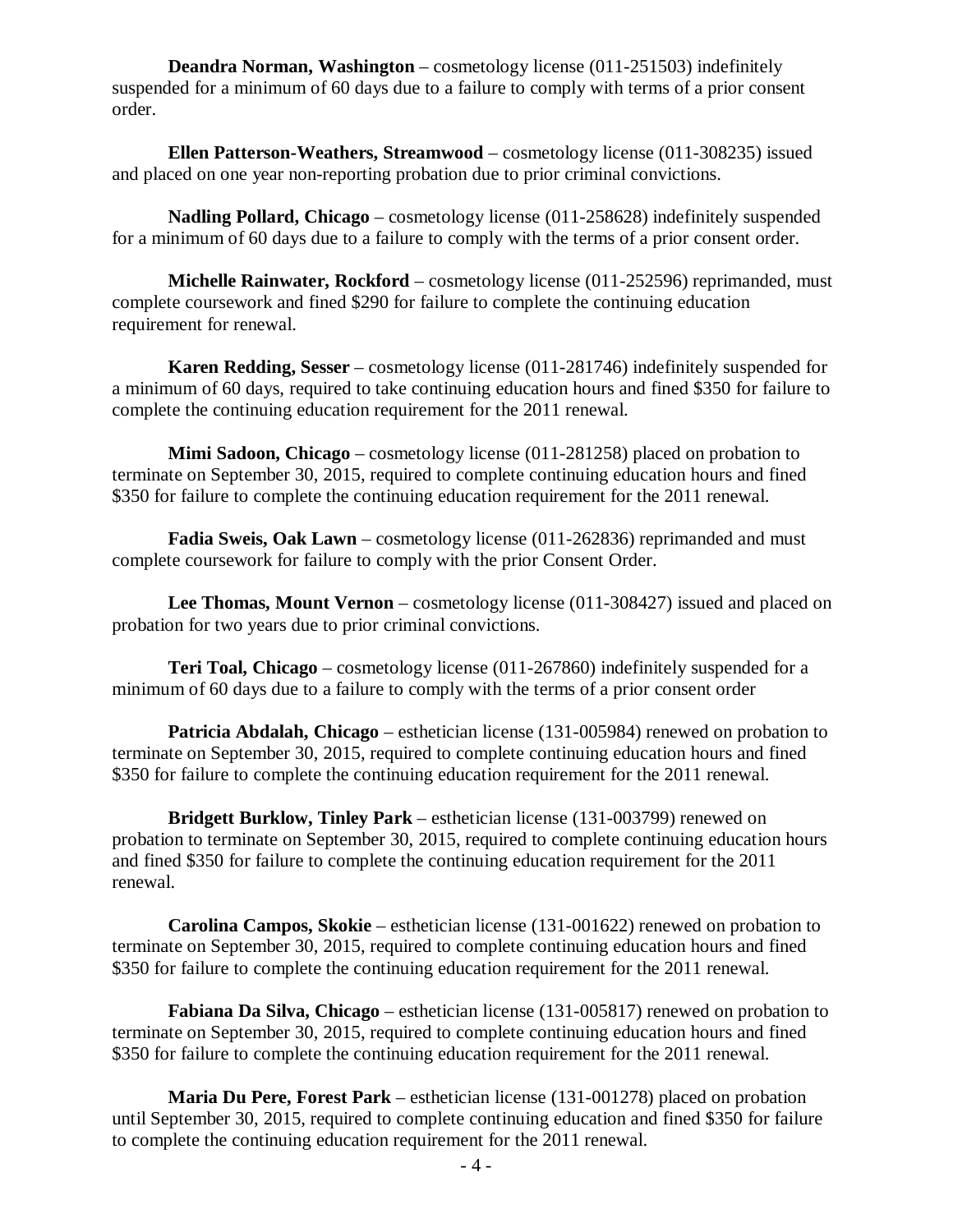**Deandra Norman, Washington** – cosmetology license (011-251503) indefinitely suspended for a minimum of 60 days due to a failure to comply with terms of a prior consent order.

**Ellen Patterson-Weathers, Streamwood** – cosmetology license (011-308235) issued and placed on one year non-reporting probation due to prior criminal convictions.

**Nadling Pollard, Chicago** – cosmetology license (011-258628) indefinitely suspended for a minimum of 60 days due to a failure to comply with the terms of a prior consent order.

**Michelle Rainwater, Rockford** – cosmetology license (011-252596) reprimanded, must complete coursework and fined \$290 for failure to complete the continuing education requirement for renewal.

**Karen Redding, Sesser** – cosmetology license (011-281746) indefinitely suspended for a minimum of 60 days, required to take continuing education hours and fined \$350 for failure to complete the continuing education requirement for the 2011 renewal.

**Mimi Sadoon, Chicago** – cosmetology license (011-281258) placed on probation to terminate on September 30, 2015, required to complete continuing education hours and fined \$350 for failure to complete the continuing education requirement for the 2011 renewal.

**Fadia Sweis, Oak Lawn** – cosmetology license (011-262836) reprimanded and must complete coursework for failure to comply with the prior Consent Order.

**Lee Thomas, Mount Vernon** – cosmetology license (011-308427) issued and placed on probation for two years due to prior criminal convictions.

**Teri Toal, Chicago** – cosmetology license (011-267860) indefinitely suspended for a minimum of 60 days due to a failure to comply with the terms of a prior consent order

**Patricia Abdalah, Chicago** – esthetician license (131-005984) renewed on probation to terminate on September 30, 2015, required to complete continuing education hours and fined \$350 for failure to complete the continuing education requirement for the 2011 renewal.

**Bridgett Burklow, Tinley Park** – esthetician license (131-003799) renewed on probation to terminate on September 30, 2015, required to complete continuing education hours and fined \$350 for failure to complete the continuing education requirement for the 2011 renewal.

**Carolina Campos, Skokie** – esthetician license (131-001622) renewed on probation to terminate on September 30, 2015, required to complete continuing education hours and fined \$350 for failure to complete the continuing education requirement for the 2011 renewal.

**Fabiana Da Silva, Chicago** – esthetician license (131-005817) renewed on probation to terminate on September 30, 2015, required to complete continuing education hours and fined \$350 for failure to complete the continuing education requirement for the 2011 renewal.

**Maria Du Pere, Forest Park** – esthetician license (131-001278) placed on probation until September 30, 2015, required to complete continuing education and fined \$350 for failure to complete the continuing education requirement for the 2011 renewal.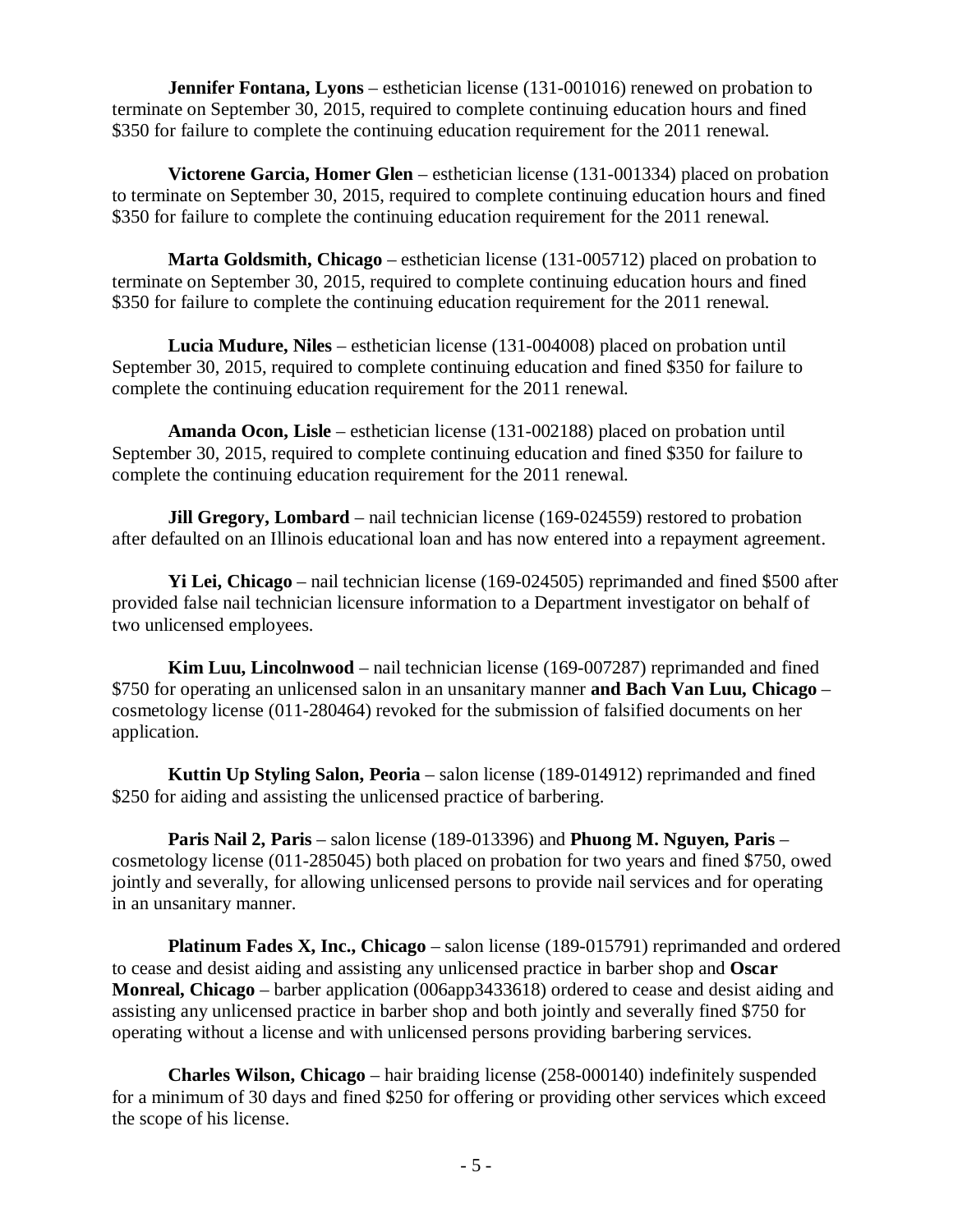**Jennifer Fontana, Lyons** – esthetician license (131-001016) renewed on probation to terminate on September 30, 2015, required to complete continuing education hours and fined \$350 for failure to complete the continuing education requirement for the 2011 renewal.

**Victorene Garcia, Homer Glen** – esthetician license (131-001334) placed on probation to terminate on September 30, 2015, required to complete continuing education hours and fined \$350 for failure to complete the continuing education requirement for the 2011 renewal.

**Marta Goldsmith, Chicago** – esthetician license (131-005712) placed on probation to terminate on September 30, 2015, required to complete continuing education hours and fined \$350 for failure to complete the continuing education requirement for the 2011 renewal.

**Lucia Mudure, Niles** – esthetician license (131-004008) placed on probation until September 30, 2015, required to complete continuing education and fined \$350 for failure to complete the continuing education requirement for the 2011 renewal.

**Amanda Ocon, Lisle** – esthetician license (131-002188) placed on probation until September 30, 2015, required to complete continuing education and fined \$350 for failure to complete the continuing education requirement for the 2011 renewal.

**Jill Gregory, Lombard** – nail technician license (169-024559) restored to probation after defaulted on an Illinois educational loan and has now entered into a repayment agreement.

**Yi Lei, Chicago** – nail technician license (169-024505) reprimanded and fined \$500 after provided false nail technician licensure information to a Department investigator on behalf of two unlicensed employees.

**Kim Luu, Lincolnwood** – nail technician license (169-007287) reprimanded and fined \$750 for operating an unlicensed salon in an unsanitary manner **and Bach Van Luu, Chicago** – cosmetology license (011-280464) revoked for the submission of falsified documents on her application.

**Kuttin Up Styling Salon, Peoria** – salon license (189-014912) reprimanded and fined \$250 for aiding and assisting the unlicensed practice of barbering.

**Paris Nail 2, Paris** – salon license (189-013396) and **Phuong M. Nguyen, Paris** – cosmetology license (011-285045) both placed on probation for two years and fined \$750, owed jointly and severally, for allowing unlicensed persons to provide nail services and for operating in an unsanitary manner.

**Platinum Fades X, Inc., Chicago** – salon license (189-015791) reprimanded and ordered to cease and desist aiding and assisting any unlicensed practice in barber shop and **Oscar Monreal, Chicago** – barber application (006app3433618) ordered to cease and desist aiding and assisting any unlicensed practice in barber shop and both jointly and severally fined \$750 for operating without a license and with unlicensed persons providing barbering services.

**Charles Wilson, Chicago** – hair braiding license (258-000140) indefinitely suspended for a minimum of 30 days and fined \$250 for offering or providing other services which exceed the scope of his license.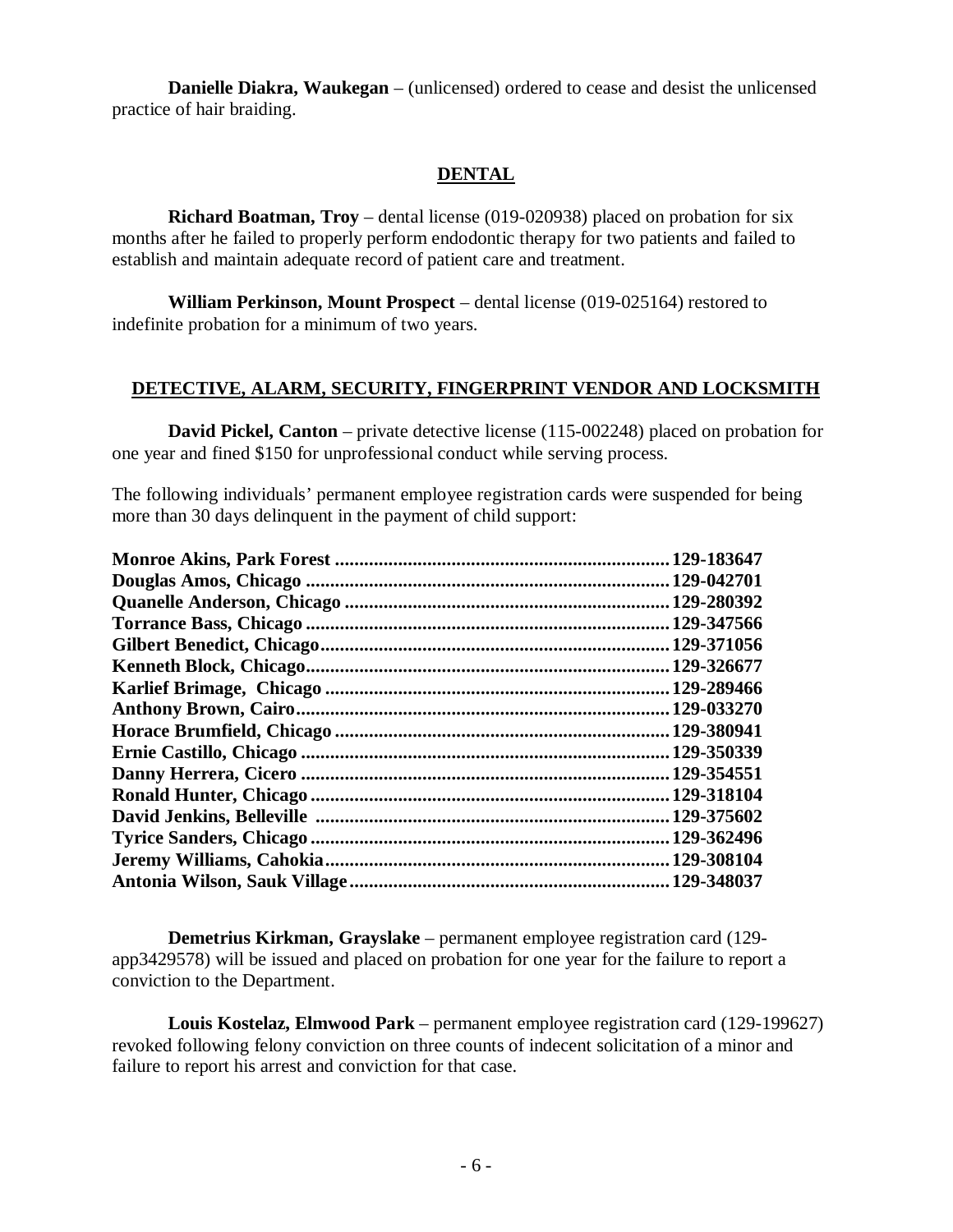**Danielle Diakra, Waukegan** – (unlicensed) ordered to cease and desist the unlicensed practice of hair braiding.

## **DENTAL**

**Richard Boatman, Troy** – dental license (019-020938) placed on probation for six months after he failed to properly perform endodontic therapy for two patients and failed to establish and maintain adequate record of patient care and treatment.

**William Perkinson, Mount Prospect** – dental license (019-025164) restored to indefinite probation for a minimum of two years.

# **DETECTIVE, ALARM, SECURITY, FINGERPRINT VENDOR AND LOCKSMITH**

**David Pickel, Canton** – private detective license (115-002248) placed on probation for one year and fined \$150 for unprofessional conduct while serving process.

The following individuals' permanent employee registration cards were suspended for being more than 30 days delinquent in the payment of child support:

| 129-183647   |
|--------------|
| 129-042701.  |
| 129-280392   |
| . 129-347566 |
| 129-371056   |
| 129-326677   |
| .129-289466  |
| 129-033270   |
| 129-380941.  |
| 129-350339   |
| 129-354551   |
| 129-318104   |
| 129-375602   |
| 129-362496   |
| .129-308104  |
| 129-348037   |

**Demetrius Kirkman, Grayslake** – permanent employee registration card (129 app3429578) will be issued and placed on probation for one year for the failure to report a conviction to the Department.

**Louis Kostelaz, Elmwood Park** – permanent employee registration card (129-199627) revoked following felony conviction on three counts of indecent solicitation of a minor and failure to report his arrest and conviction for that case.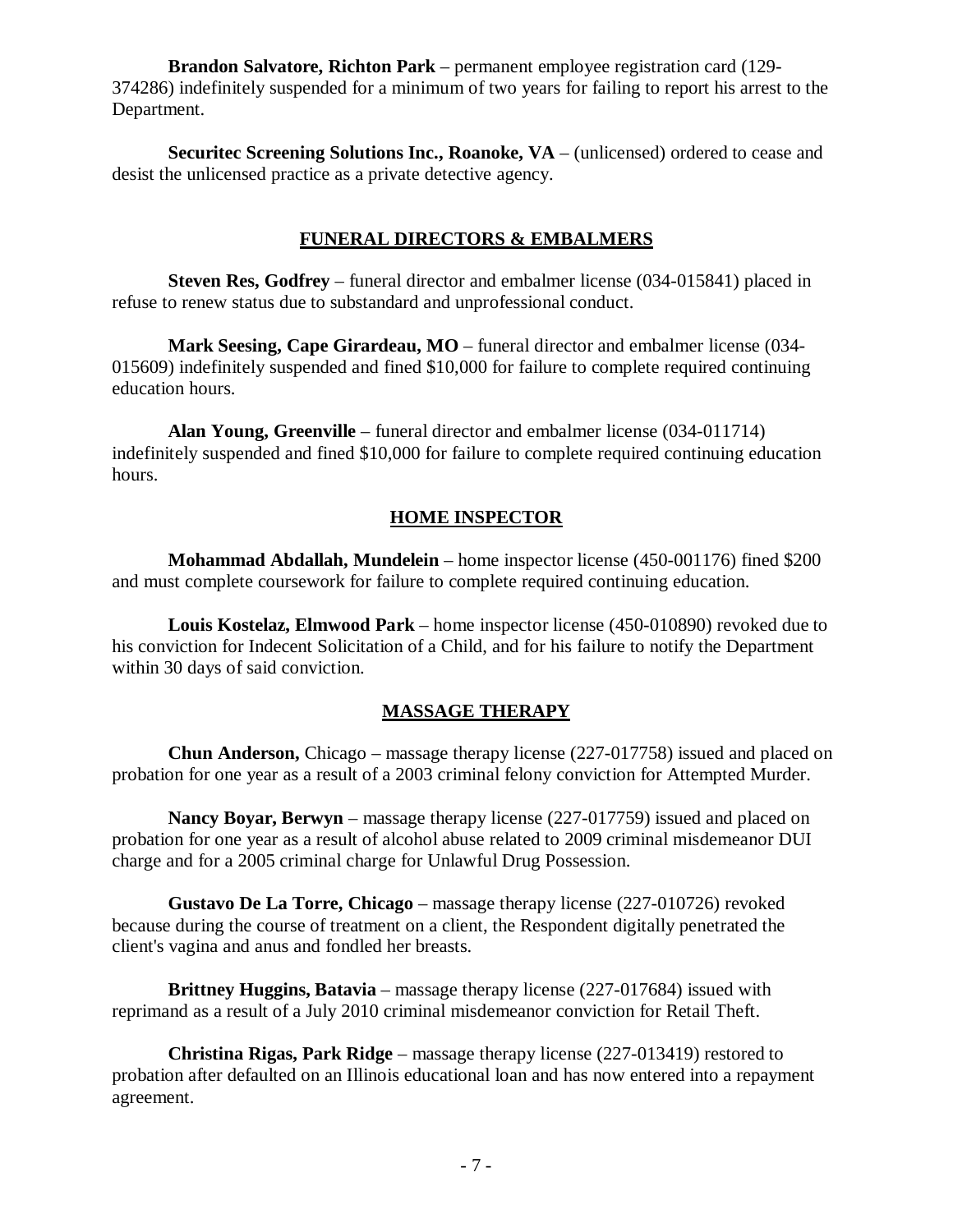**Brandon Salvatore, Richton Park** – permanent employee registration card (129- 374286) indefinitely suspended for a minimum of two years for failing to report his arrest to the Department.

**Securitec Screening Solutions Inc., Roanoke, VA** – (unlicensed) ordered to cease and desist the unlicensed practice as a private detective agency.

## **FUNERAL DIRECTORS & EMBALMERS**

**Steven Res, Godfrey** – funeral director and embalmer license (034-015841) placed in refuse to renew status due to substandard and unprofessional conduct.

**Mark Seesing, Cape Girardeau, MO** – funeral director and embalmer license (034- 015609) indefinitely suspended and fined \$10,000 for failure to complete required continuing education hours.

**Alan Young, Greenville** – funeral director and embalmer license (034-011714) indefinitely suspended and fined \$10,000 for failure to complete required continuing education hours.

# **HOME INSPECTOR**

**Mohammad Abdallah, Mundelein** – home inspector license (450-001176) fined \$200 and must complete coursework for failure to complete required continuing education.

**Louis Kostelaz, Elmwood Park** – home inspector license (450-010890) revoked due to his conviction for Indecent Solicitation of a Child, and for his failure to notify the Department within 30 days of said conviction.

# **MASSAGE THERAPY**

**Chun Anderson,** Chicago – massage therapy license (227-017758) issued and placed on probation for one year as a result of a 2003 criminal felony conviction for Attempted Murder.

**Nancy Boyar, Berwyn** – massage therapy license (227-017759) issued and placed on probation for one year as a result of alcohol abuse related to 2009 criminal misdemeanor DUI charge and for a 2005 criminal charge for Unlawful Drug Possession.

**Gustavo De La Torre, Chicago** – massage therapy license (227-010726) revoked because during the course of treatment on a client, the Respondent digitally penetrated the client's vagina and anus and fondled her breasts.

**Brittney Huggins, Batavia** – massage therapy license (227-017684) issued with reprimand as a result of a July 2010 criminal misdemeanor conviction for Retail Theft.

**Christina Rigas, Park Ridge** – massage therapy license (227-013419) restored to probation after defaulted on an Illinois educational loan and has now entered into a repayment agreement.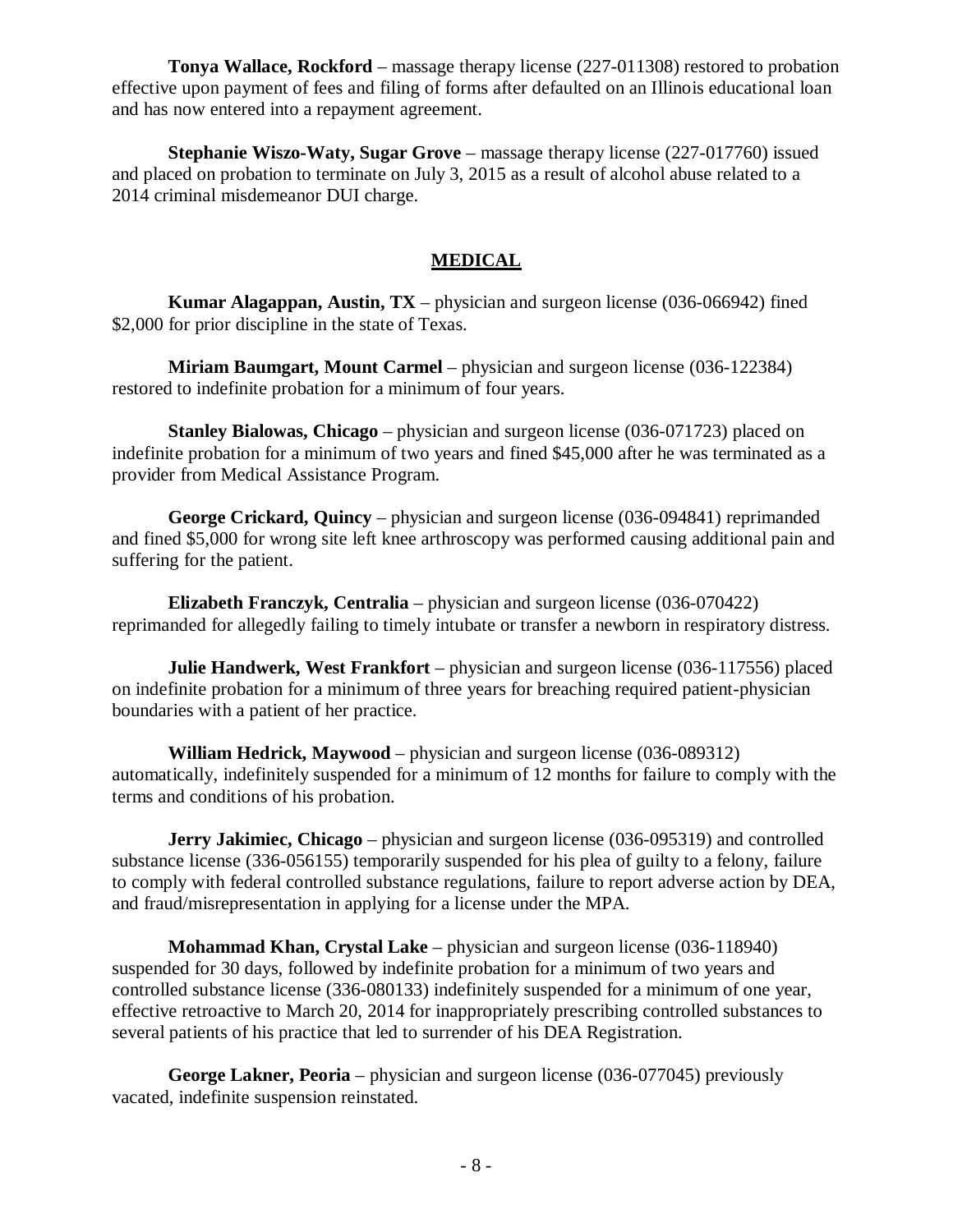**Tonya Wallace, Rockford** – massage therapy license (227-011308) restored to probation effective upon payment of fees and filing of forms after defaulted on an Illinois educational loan and has now entered into a repayment agreement.

**Stephanie Wiszo-Waty, Sugar Grove** – massage therapy license (227-017760) issued and placed on probation to terminate on July 3, 2015 as a result of alcohol abuse related to a 2014 criminal misdemeanor DUI charge.

# **MEDICAL**

**Kumar Alagappan, Austin, TX** – physician and surgeon license (036-066942) fined \$2,000 for prior discipline in the state of Texas.

**Miriam Baumgart, Mount Carmel** – physician and surgeon license (036-122384) restored to indefinite probation for a minimum of four years.

**Stanley Bialowas, Chicago** – physician and surgeon license (036-071723) placed on indefinite probation for a minimum of two years and fined \$45,000 after he was terminated as a provider from Medical Assistance Program.

**George Crickard, Quincy** – physician and surgeon license (036-094841) reprimanded and fined \$5,000 for wrong site left knee arthroscopy was performed causing additional pain and suffering for the patient.

**Elizabeth Franczyk, Centralia** – physician and surgeon license (036-070422) reprimanded for allegedly failing to timely intubate or transfer a newborn in respiratory distress.

**Julie Handwerk, West Frankfort** – physician and surgeon license (036-117556) placed on indefinite probation for a minimum of three years for breaching required patient-physician boundaries with a patient of her practice.

**William Hedrick, Maywood** – physician and surgeon license (036-089312) automatically, indefinitely suspended for a minimum of 12 months for failure to comply with the terms and conditions of his probation.

**Jerry Jakimiec, Chicago** – physician and surgeon license (036-095319) and controlled substance license (336-056155) temporarily suspended for his plea of guilty to a felony, failure to comply with federal controlled substance regulations, failure to report adverse action by DEA, and fraud/misrepresentation in applying for a license under the MPA.

**Mohammad Khan, Crystal Lake** – physician and surgeon license (036-118940) suspended for 30 days, followed by indefinite probation for a minimum of two years and controlled substance license (336-080133) indefinitely suspended for a minimum of one year, effective retroactive to March 20, 2014 for inappropriately prescribing controlled substances to several patients of his practice that led to surrender of his DEA Registration.

**George Lakner, Peoria** – physician and surgeon license (036-077045) previously vacated, indefinite suspension reinstated.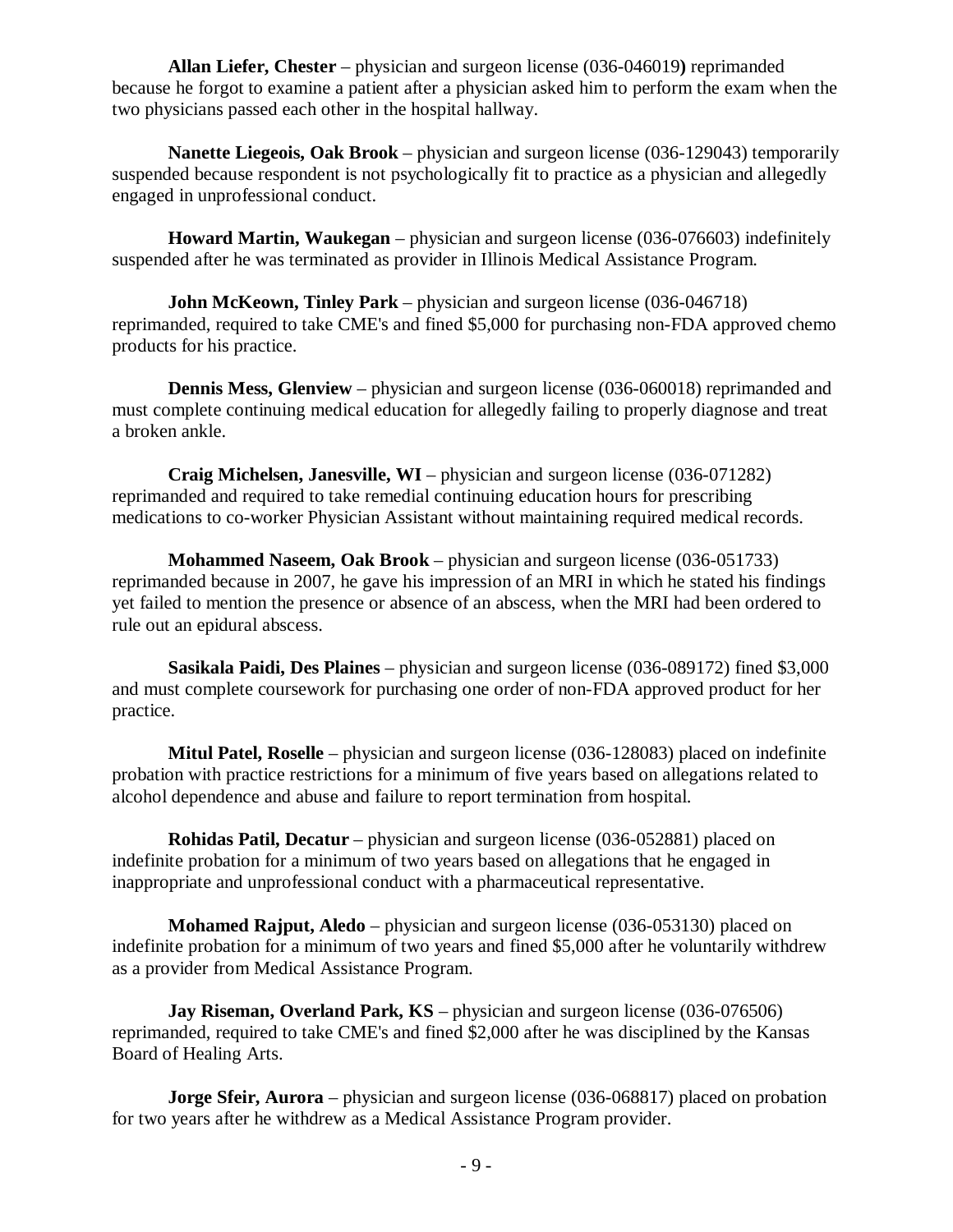**Allan Liefer, Chester** – physician and surgeon license (036-046019**)** reprimanded because he forgot to examine a patient after a physician asked him to perform the exam when the two physicians passed each other in the hospital hallway.

**Nanette Liegeois, Oak Brook** – physician and surgeon license (036-129043) temporarily suspended because respondent is not psychologically fit to practice as a physician and allegedly engaged in unprofessional conduct.

**Howard Martin, Waukegan** – physician and surgeon license (036-076603) indefinitely suspended after he was terminated as provider in Illinois Medical Assistance Program.

**John McKeown, Tinley Park** – physician and surgeon license (036-046718) reprimanded, required to take CME's and fined \$5,000 for purchasing non-FDA approved chemo products for his practice.

**Dennis Mess, Glenview** – physician and surgeon license (036-060018) reprimanded and must complete continuing medical education for allegedly failing to properly diagnose and treat a broken ankle.

**Craig Michelsen, Janesville, WI** – physician and surgeon license (036-071282) reprimanded and required to take remedial continuing education hours for prescribing medications to co-worker Physician Assistant without maintaining required medical records.

**Mohammed Naseem, Oak Brook** – physician and surgeon license (036-051733) reprimanded because in 2007, he gave his impression of an MRI in which he stated his findings yet failed to mention the presence or absence of an abscess, when the MRI had been ordered to rule out an epidural abscess.

**Sasikala Paidi, Des Plaines** – physician and surgeon license (036-089172) fined \$3,000 and must complete coursework for purchasing one order of non-FDA approved product for her practice.

**Mitul Patel, Roselle** – physician and surgeon license (036-128083) placed on indefinite probation with practice restrictions for a minimum of five years based on allegations related to alcohol dependence and abuse and failure to report termination from hospital.

**Rohidas Patil, Decatur** – physician and surgeon license (036-052881) placed on indefinite probation for a minimum of two years based on allegations that he engaged in inappropriate and unprofessional conduct with a pharmaceutical representative.

**Mohamed Rajput, Aledo** – physician and surgeon license (036-053130) placed on indefinite probation for a minimum of two years and fined \$5,000 after he voluntarily withdrew as a provider from Medical Assistance Program.

**Jay Riseman, Overland Park, KS** – physician and surgeon license (036-076506) reprimanded, required to take CME's and fined \$2,000 after he was disciplined by the Kansas Board of Healing Arts.

**Jorge Sfeir, Aurora** – physician and surgeon license (036-068817) placed on probation for two years after he withdrew as a Medical Assistance Program provider.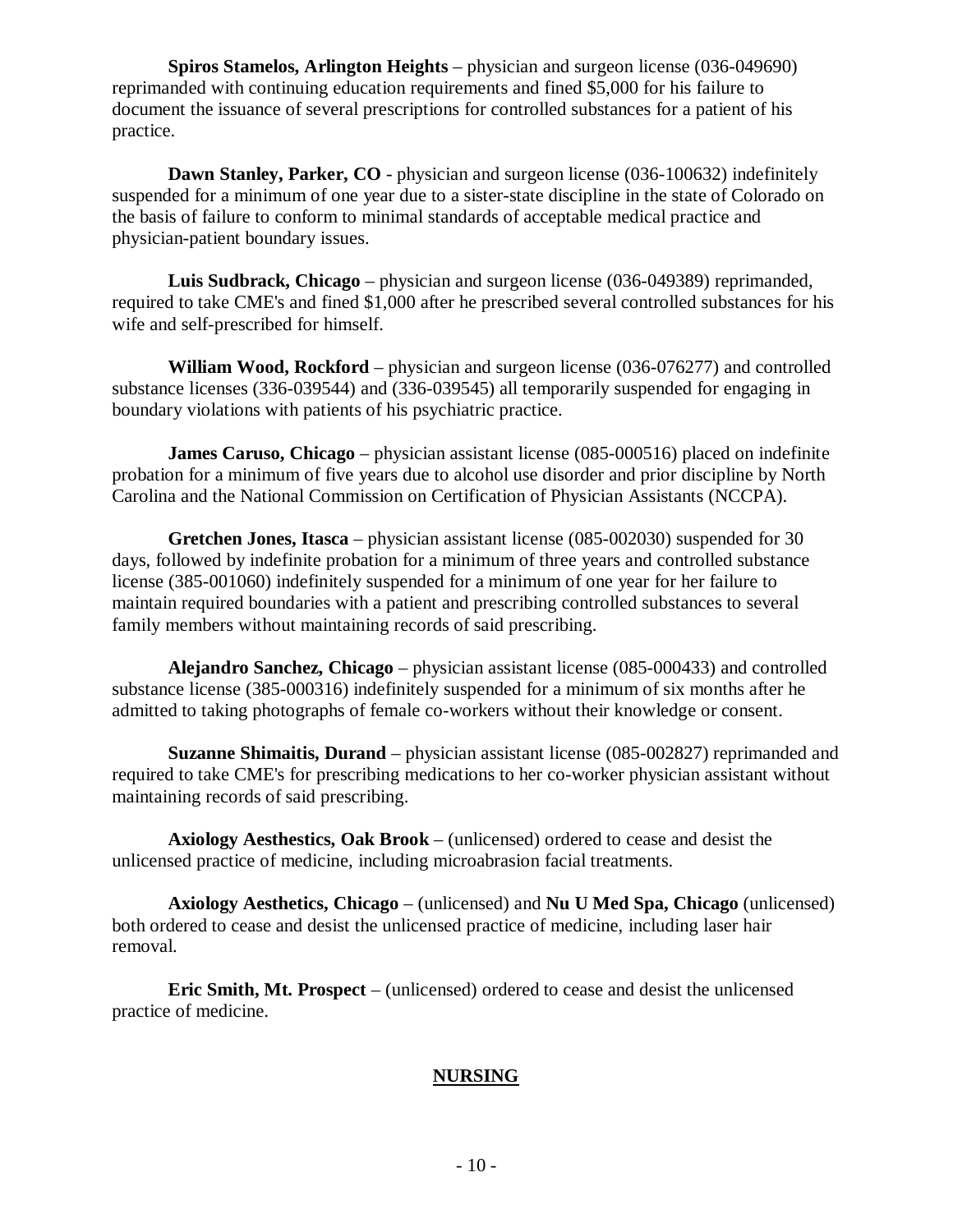**Spiros Stamelos, Arlington Heights** – physician and surgeon license (036-049690) reprimanded with continuing education requirements and fined \$5,000 for his failure to document the issuance of several prescriptions for controlled substances for a patient of his practice.

**Dawn Stanley, Parker, CO** - physician and surgeon license (036-100632) indefinitely suspended for a minimum of one year due to a sister-state discipline in the state of Colorado on the basis of failure to conform to minimal standards of acceptable medical practice and physician-patient boundary issues.

**Luis Sudbrack, Chicago** – physician and surgeon license (036-049389) reprimanded, required to take CME's and fined \$1,000 after he prescribed several controlled substances for his wife and self-prescribed for himself.

**William Wood, Rockford** – physician and surgeon license (036-076277) and controlled substance licenses (336-039544) and (336-039545) all temporarily suspended for engaging in boundary violations with patients of his psychiatric practice.

**James Caruso, Chicago** – physician assistant license (085-000516) placed on indefinite probation for a minimum of five years due to alcohol use disorder and prior discipline by North Carolina and the National Commission on Certification of Physician Assistants (NCCPA).

**Gretchen Jones, Itasca** – physician assistant license (085-002030) suspended for 30 days, followed by indefinite probation for a minimum of three years and controlled substance license (385-001060) indefinitely suspended for a minimum of one year for her failure to maintain required boundaries with a patient and prescribing controlled substances to several family members without maintaining records of said prescribing.

**Alejandro Sanchez, Chicago** – physician assistant license (085-000433) and controlled substance license (385-000316) indefinitely suspended for a minimum of six months after he admitted to taking photographs of female co-workers without their knowledge or consent.

**Suzanne Shimaitis, Durand** – physician assistant license (085-002827) reprimanded and required to take CME's for prescribing medications to her co-worker physician assistant without maintaining records of said prescribing.

**Axiology Aesthestics, Oak Brook** – (unlicensed) ordered to cease and desist the unlicensed practice of medicine, including microabrasion facial treatments.

**Axiology Aesthetics, Chicago** – (unlicensed) and **Nu U Med Spa, Chicago** (unlicensed) both ordered to cease and desist the unlicensed practice of medicine, including laser hair removal.

**Eric Smith, Mt. Prospect** – (unlicensed) ordered to cease and desist the unlicensed practice of medicine.

## **NURSING**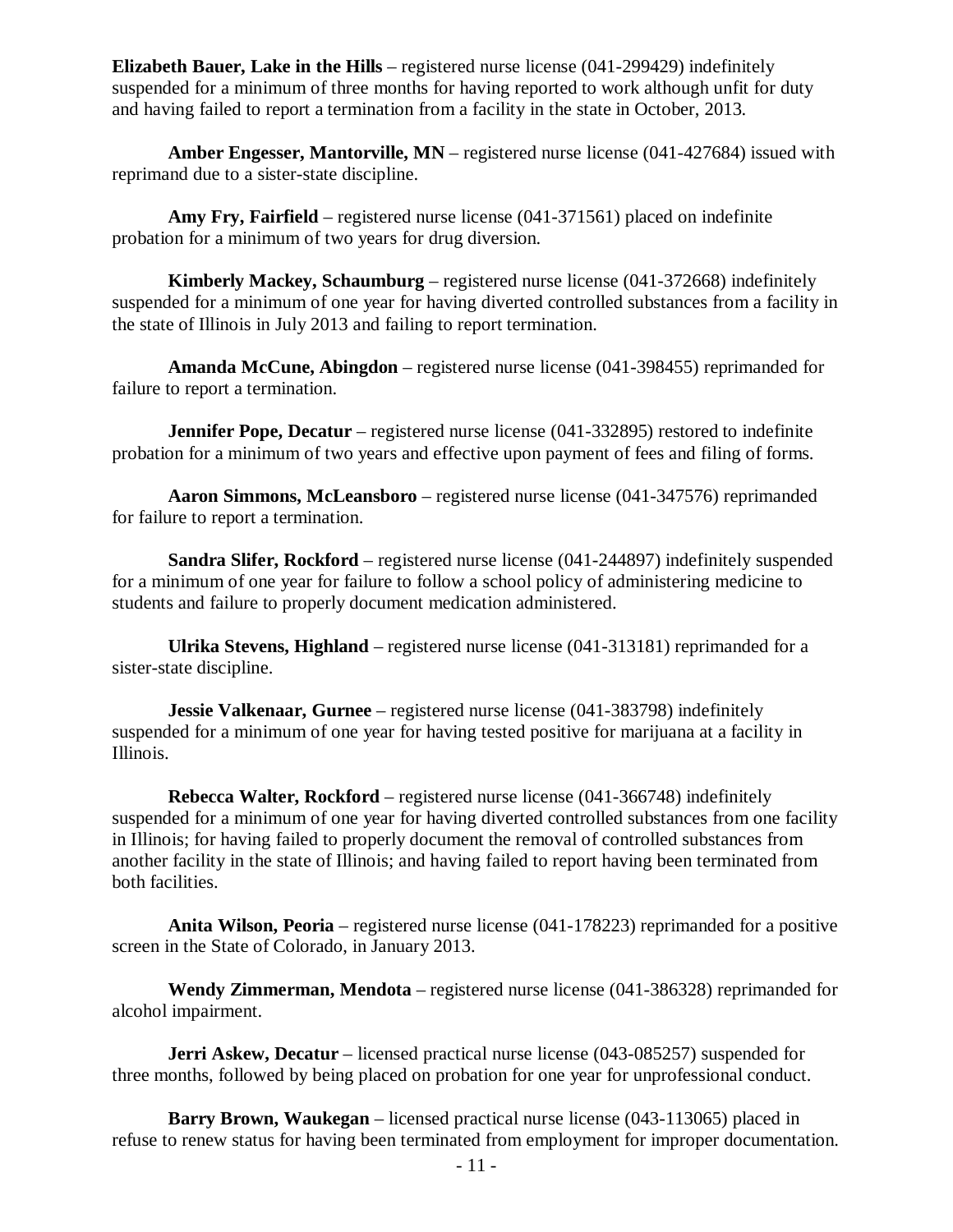**Elizabeth Bauer, Lake in the Hills** – registered nurse license (041-299429) indefinitely suspended for a minimum of three months for having reported to work although unfit for duty and having failed to report a termination from a facility in the state in October, 2013.

**Amber Engesser, Mantorville, MN** – registered nurse license (041-427684) issued with reprimand due to a sister-state discipline.

**Amy Fry, Fairfield** – registered nurse license (041-371561) placed on indefinite probation for a minimum of two years for drug diversion.

**Kimberly Mackey, Schaumburg** – registered nurse license (041-372668) indefinitely suspended for a minimum of one year for having diverted controlled substances from a facility in the state of Illinois in July 2013 and failing to report termination.

**Amanda McCune, Abingdon** – registered nurse license (041-398455) reprimanded for failure to report a termination.

**Jennifer Pope, Decatur** – registered nurse license (041-332895) restored to indefinite probation for a minimum of two years and effective upon payment of fees and filing of forms.

**Aaron Simmons, McLeansboro** – registered nurse license (041-347576) reprimanded for failure to report a termination.

**Sandra Slifer, Rockford** – registered nurse license (041-244897) indefinitely suspended for a minimum of one year for failure to follow a school policy of administering medicine to students and failure to properly document medication administered.

**Ulrika Stevens, Highland** – registered nurse license (041-313181) reprimanded for a sister-state discipline.

**Jessie Valkenaar, Gurnee** – registered nurse license (041-383798) indefinitely suspended for a minimum of one year for having tested positive for marijuana at a facility in Illinois.

**Rebecca Walter, Rockford** – registered nurse license (041-366748) indefinitely suspended for a minimum of one year for having diverted controlled substances from one facility in Illinois; for having failed to properly document the removal of controlled substances from another facility in the state of Illinois; and having failed to report having been terminated from both facilities.

**Anita Wilson, Peoria** – registered nurse license (041-178223) reprimanded for a positive screen in the State of Colorado, in January 2013.

**Wendy Zimmerman, Mendota** – registered nurse license (041-386328) reprimanded for alcohol impairment.

**Jerri Askew, Decatur** – licensed practical nurse license (043-085257) suspended for three months, followed by being placed on probation for one year for unprofessional conduct.

**Barry Brown, Waukegan** – licensed practical nurse license (043-113065) placed in refuse to renew status for having been terminated from employment for improper documentation.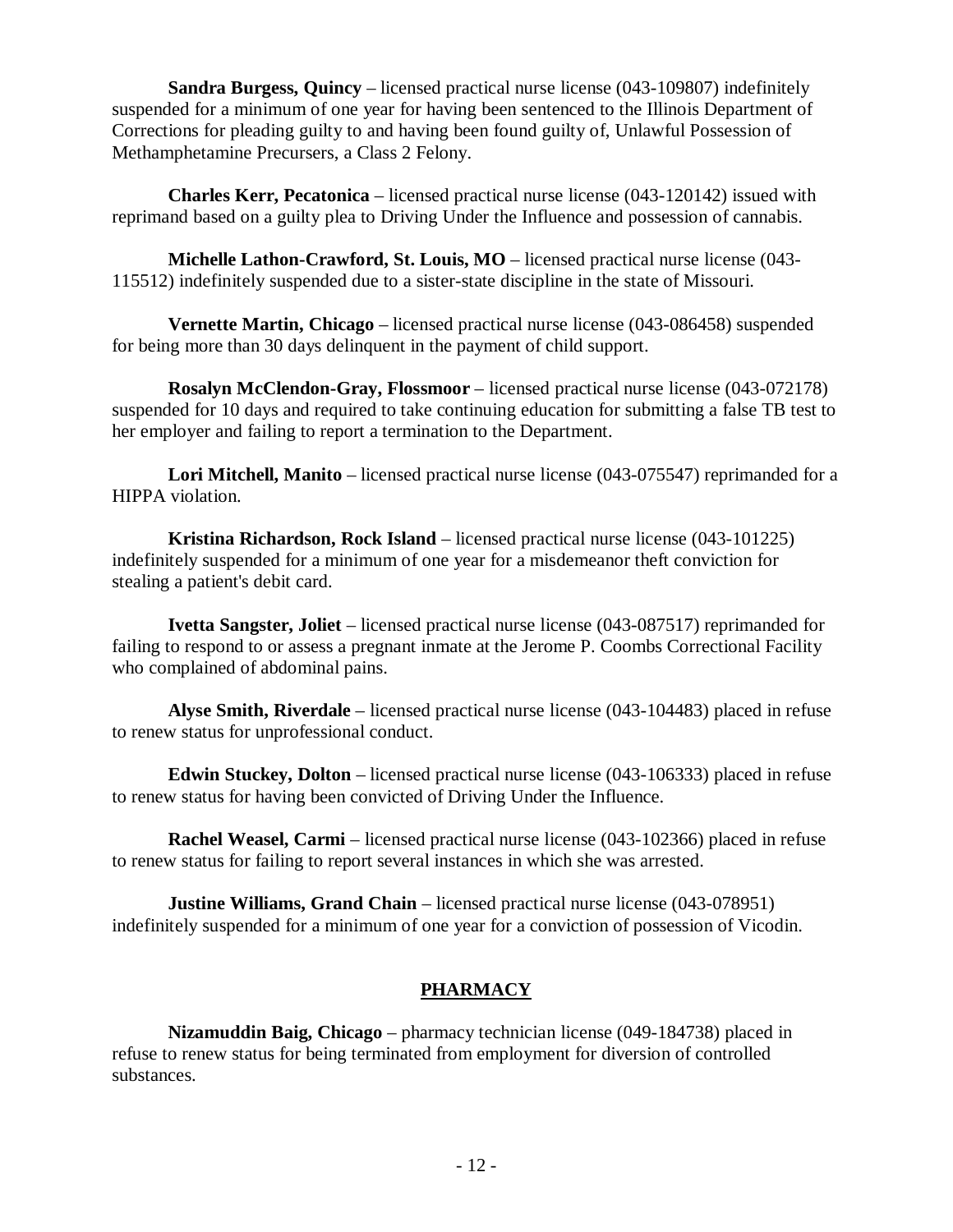**Sandra Burgess, Quincy** – licensed practical nurse license (043-109807) indefinitely suspended for a minimum of one year for having been sentenced to the Illinois Department of Corrections for pleading guilty to and having been found guilty of, Unlawful Possession of Methamphetamine Precursers, a Class 2 Felony.

**Charles Kerr, Pecatonica** – licensed practical nurse license (043-120142) issued with reprimand based on a guilty plea to Driving Under the Influence and possession of cannabis.

**Michelle Lathon-Crawford, St. Louis, MO** – licensed practical nurse license (043- 115512) indefinitely suspended due to a sister-state discipline in the state of Missouri.

**Vernette Martin, Chicago** – licensed practical nurse license (043-086458) suspended for being more than 30 days delinquent in the payment of child support.

**Rosalyn McClendon-Gray, Flossmoor** – licensed practical nurse license (043-072178) suspended for 10 days and required to take continuing education for submitting a false TB test to her employer and failing to report a termination to the Department.

**Lori Mitchell, Manito** – licensed practical nurse license (043-075547) reprimanded for a HIPPA violation.

**Kristina Richardson, Rock Island** – licensed practical nurse license (043-101225) indefinitely suspended for a minimum of one year for a misdemeanor theft conviction for stealing a patient's debit card.

**Ivetta Sangster, Joliet** – licensed practical nurse license (043-087517) reprimanded for failing to respond to or assess a pregnant inmate at the Jerome P. Coombs Correctional Facility who complained of abdominal pains.

**Alyse Smith, Riverdale** – licensed practical nurse license (043-104483) placed in refuse to renew status for unprofessional conduct.

**Edwin Stuckey, Dolton** – licensed practical nurse license (043-106333) placed in refuse to renew status for having been convicted of Driving Under the Influence.

**Rachel Weasel, Carmi** – licensed practical nurse license (043-102366) placed in refuse to renew status for failing to report several instances in which she was arrested.

**Justine Williams, Grand Chain** – licensed practical nurse license (043-078951) indefinitely suspended for a minimum of one year for a conviction of possession of Vicodin.

# **PHARMACY**

**Nizamuddin Baig, Chicago** – pharmacy technician license (049-184738) placed in refuse to renew status for being terminated from employment for diversion of controlled substances.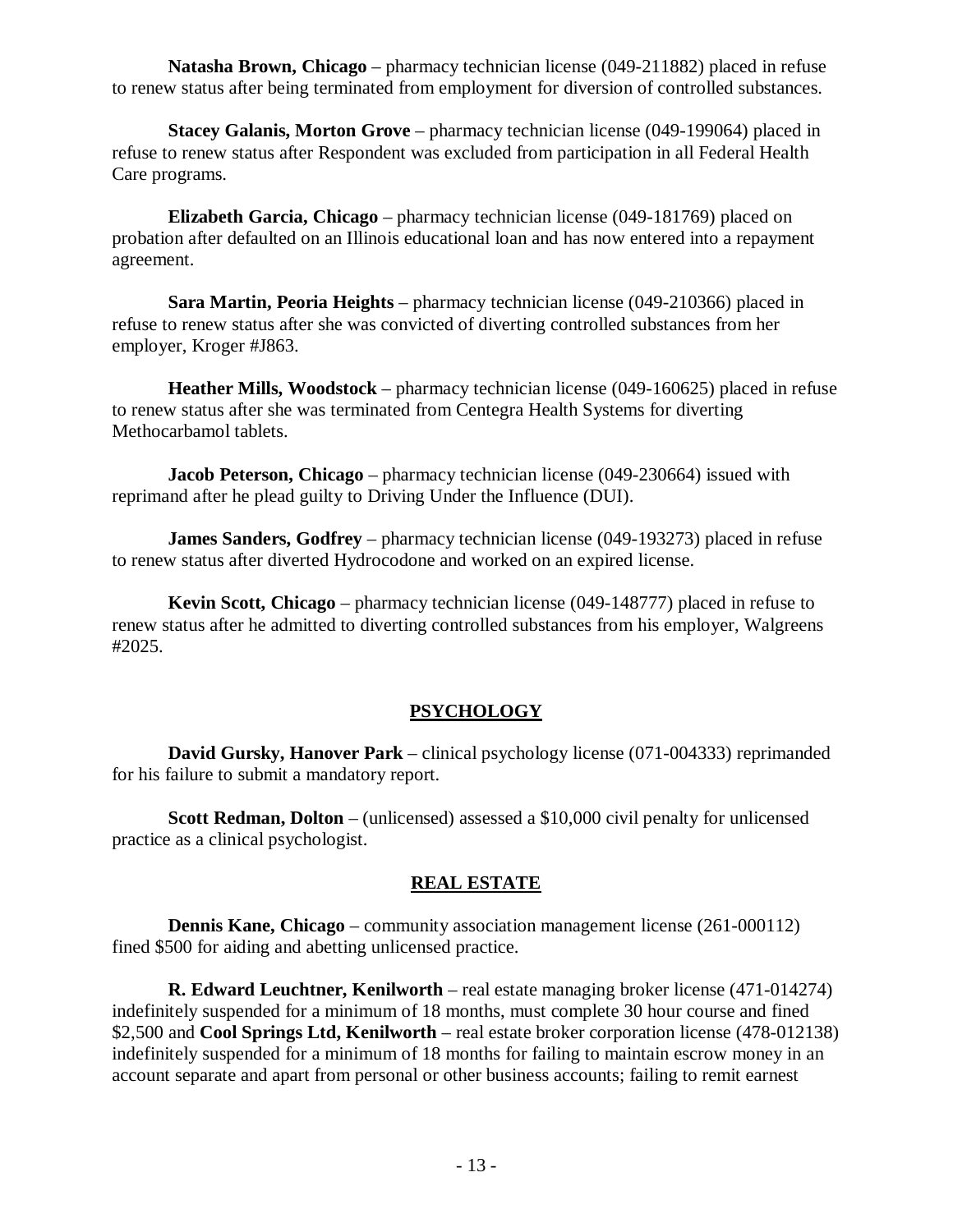**Natasha Brown, Chicago** – pharmacy technician license (049-211882) placed in refuse to renew status after being terminated from employment for diversion of controlled substances.

**Stacey Galanis, Morton Grove** – pharmacy technician license (049-199064) placed in refuse to renew status after Respondent was excluded from participation in all Federal Health Care programs.

**Elizabeth Garcia, Chicago** – pharmacy technician license (049-181769) placed on probation after defaulted on an Illinois educational loan and has now entered into a repayment agreement.

**Sara Martin, Peoria Heights** – pharmacy technician license (049-210366) placed in refuse to renew status after she was convicted of diverting controlled substances from her employer, Kroger #J863.

**Heather Mills, Woodstock** – pharmacy technician license (049-160625) placed in refuse to renew status after she was terminated from Centegra Health Systems for diverting Methocarbamol tablets.

**Jacob Peterson, Chicago** – pharmacy technician license (049-230664) issued with reprimand after he plead guilty to Driving Under the Influence (DUI).

**James Sanders, Godfrey** – pharmacy technician license (049-193273) placed in refuse to renew status after diverted Hydrocodone and worked on an expired license.

**Kevin Scott, Chicago** – pharmacy technician license (049-148777) placed in refuse to renew status after he admitted to diverting controlled substances from his employer, Walgreens #2025.

## **PSYCHOLOGY**

**David Gursky, Hanover Park** – clinical psychology license (071-004333) reprimanded for his failure to submit a mandatory report.

**Scott Redman, Dolton** – (unlicensed) assessed a \$10,000 civil penalty for unlicensed practice as a clinical psychologist.

## **REAL ESTATE**

**Dennis Kane, Chicago** – community association management license (261-000112) fined \$500 for aiding and abetting unlicensed practice.

**R. Edward Leuchtner, Kenilworth** – real estate managing broker license (471-014274) indefinitely suspended for a minimum of 18 months, must complete 30 hour course and fined \$2,500 and **Cool Springs Ltd, Kenilworth** – real estate broker corporation license (478-012138) indefinitely suspended for a minimum of 18 months for failing to maintain escrow money in an account separate and apart from personal or other business accounts; failing to remit earnest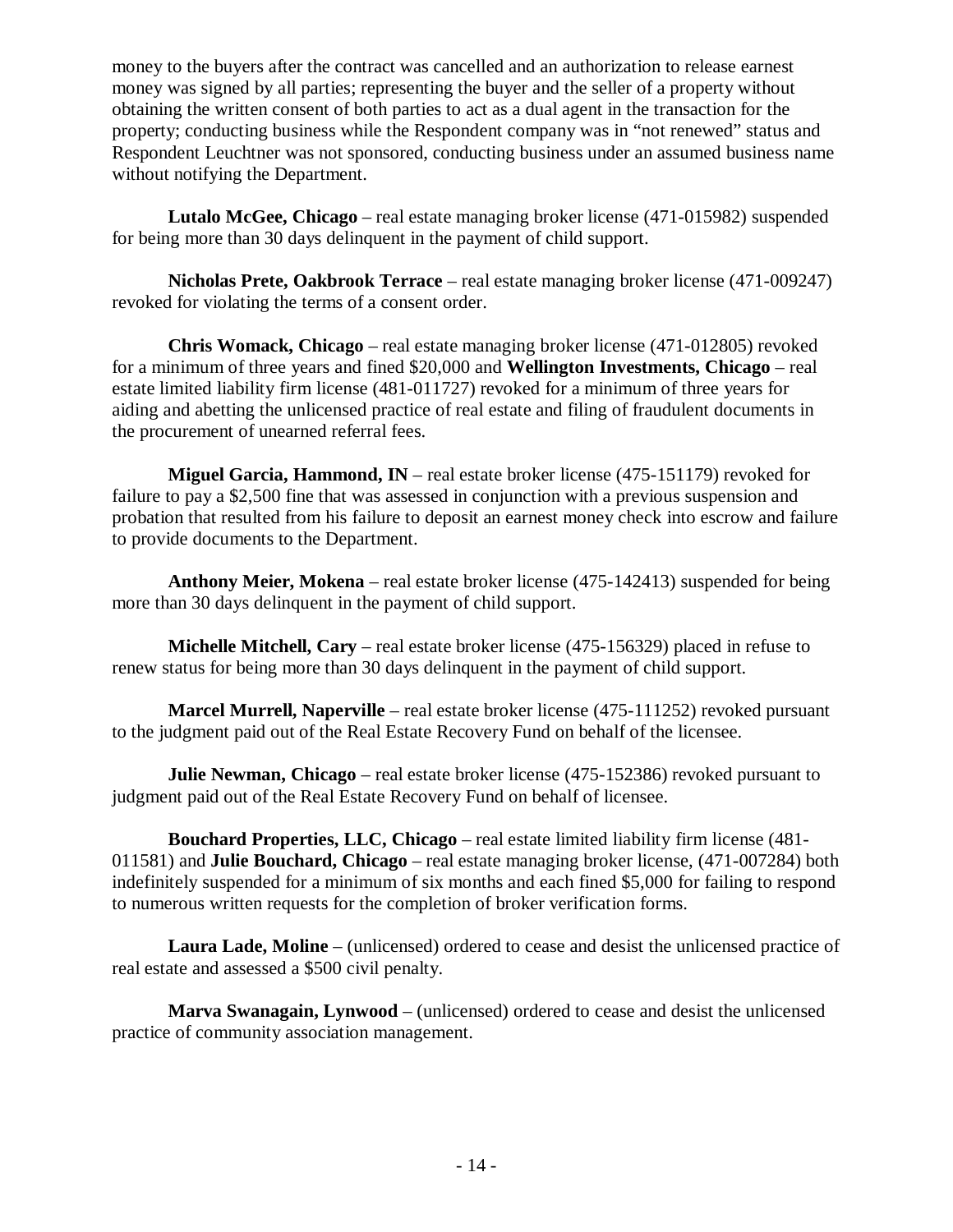money to the buyers after the contract was cancelled and an authorization to release earnest money was signed by all parties; representing the buyer and the seller of a property without obtaining the written consent of both parties to act as a dual agent in the transaction for the property; conducting business while the Respondent company was in "not renewed" status and Respondent Leuchtner was not sponsored, conducting business under an assumed business name without notifying the Department.

**Lutalo McGee, Chicago** – real estate managing broker license (471-015982) suspended for being more than 30 days delinquent in the payment of child support.

**Nicholas Prete, Oakbrook Terrace** – real estate managing broker license (471-009247) revoked for violating the terms of a consent order.

**Chris Womack, Chicago** – real estate managing broker license (471-012805) revoked for a minimum of three years and fined \$20,000 and **Wellington Investments, Chicago** – real estate limited liability firm license (481-011727) revoked for a minimum of three years for aiding and abetting the unlicensed practice of real estate and filing of fraudulent documents in the procurement of unearned referral fees.

**Miguel Garcia, Hammond, IN** – real estate broker license (475-151179) revoked for failure to pay a \$2,500 fine that was assessed in conjunction with a previous suspension and probation that resulted from his failure to deposit an earnest money check into escrow and failure to provide documents to the Department.

**Anthony Meier, Mokena** – real estate broker license (475-142413) suspended for being more than 30 days delinquent in the payment of child support.

**Michelle Mitchell, Cary** – real estate broker license (475-156329) placed in refuse to renew status for being more than 30 days delinquent in the payment of child support.

**Marcel Murrell, Naperville** – real estate broker license (475-111252) revoked pursuant to the judgment paid out of the Real Estate Recovery Fund on behalf of the licensee.

**Julie Newman, Chicago** – real estate broker license (475-152386) revoked pursuant to judgment paid out of the Real Estate Recovery Fund on behalf of licensee.

**Bouchard Properties, LLC, Chicago** – real estate limited liability firm license (481- 011581) and **Julie Bouchard, Chicago** – real estate managing broker license, (471-007284) both indefinitely suspended for a minimum of six months and each fined \$5,000 for failing to respond to numerous written requests for the completion of broker verification forms.

**Laura Lade, Moline** – (unlicensed) ordered to cease and desist the unlicensed practice of real estate and assessed a \$500 civil penalty.

**Marva Swanagain, Lynwood** – (unlicensed) ordered to cease and desist the unlicensed practice of community association management.